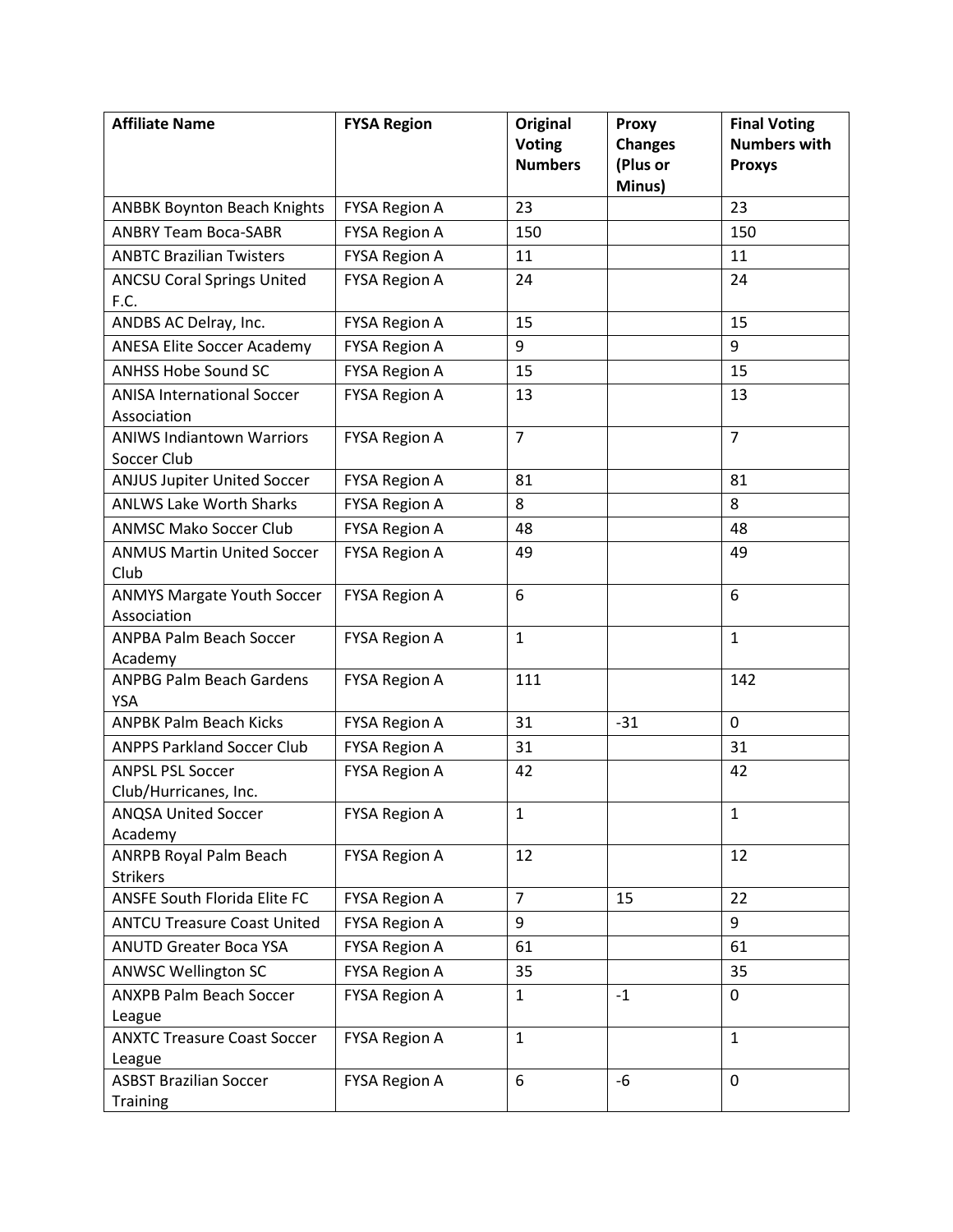| <b>Affiliate Name</b>                            | <b>FYSA Region</b>   | <b>Original</b>                 | <b>Proxy</b>               | <b>Final Voting</b><br><b>Numbers with</b> |
|--------------------------------------------------|----------------------|---------------------------------|----------------------------|--------------------------------------------|
|                                                  |                      | <b>Voting</b><br><b>Numbers</b> | <b>Changes</b><br>(Plus or | <b>Proxys</b>                              |
|                                                  |                      |                                 | Minus)                     |                                            |
| <b>ANBBK Boynton Beach Knights</b>               | <b>FYSA Region A</b> | 23                              |                            | 23                                         |
| <b>ANBRY Team Boca-SABR</b>                      | <b>FYSA Region A</b> | 150                             |                            | 150                                        |
| <b>ANBTC Brazilian Twisters</b>                  | <b>FYSA Region A</b> | 11                              |                            | 11                                         |
| <b>ANCSU Coral Springs United</b><br>F.C.        | <b>FYSA Region A</b> | 24                              |                            | 24                                         |
| ANDBS AC Delray, Inc.                            | <b>FYSA Region A</b> | 15                              |                            | 15                                         |
| <b>ANESA Elite Soccer Academy</b>                | <b>FYSA Region A</b> | 9                               |                            | 9                                          |
| <b>ANHSS Hobe Sound SC</b>                       | <b>FYSA Region A</b> | 15                              |                            | 15                                         |
| <b>ANISA International Soccer</b><br>Association | <b>FYSA Region A</b> | 13                              |                            | 13                                         |
| <b>ANIWS Indiantown Warriors</b><br>Soccer Club  | <b>FYSA Region A</b> | $\overline{7}$                  |                            | $\overline{7}$                             |
| <b>ANJUS Jupiter United Soccer</b>               | <b>FYSA Region A</b> | 81                              |                            | 81                                         |
| <b>ANLWS Lake Worth Sharks</b>                   | <b>FYSA Region A</b> | 8                               |                            | 8                                          |
| <b>ANMSC Mako Soccer Club</b>                    | <b>FYSA Region A</b> | 48                              |                            | 48                                         |
| <b>ANMUS Martin United Soccer</b><br>Club        | <b>FYSA Region A</b> | 49                              |                            | 49                                         |
| <b>ANMYS Margate Youth Soccer</b><br>Association | <b>FYSA Region A</b> | 6                               |                            | 6                                          |
| <b>ANPBA Palm Beach Soccer</b><br>Academy        | <b>FYSA Region A</b> | $\mathbf{1}$                    |                            | $\mathbf{1}$                               |
| <b>ANPBG Palm Beach Gardens</b><br><b>YSA</b>    | <b>FYSA Region A</b> | 111                             |                            | 142                                        |
| <b>ANPBK Palm Beach Kicks</b>                    | <b>FYSA Region A</b> | 31                              | $-31$                      | 0                                          |
| <b>ANPPS Parkland Soccer Club</b>                | <b>FYSA Region A</b> | 31                              |                            | 31                                         |
| <b>ANPSL PSL Soccer</b><br>Club/Hurricanes, Inc. | <b>FYSA Region A</b> | 42                              |                            | 42                                         |
| <b>ANQSA United Soccer</b><br>Academy            | <b>FYSA Region A</b> | 1                               |                            | 1                                          |
| ANRPB Royal Palm Beach<br><b>Strikers</b>        | <b>FYSA Region A</b> | 12                              |                            | 12                                         |
| <b>ANSFE South Florida Elite FC</b>              | <b>FYSA Region A</b> | $\overline{7}$                  | 15                         | 22                                         |
| <b>ANTCU Treasure Coast United</b>               | <b>FYSA Region A</b> | 9                               |                            | 9                                          |
| <b>ANUTD Greater Boca YSA</b>                    | <b>FYSA Region A</b> | 61                              |                            | 61                                         |
| <b>ANWSC Wellington SC</b>                       | <b>FYSA Region A</b> | 35                              |                            | 35                                         |
| <b>ANXPB Palm Beach Soccer</b><br>League         | <b>FYSA Region A</b> | $\mathbf{1}$                    | $-1$                       | 0                                          |
| <b>ANXTC Treasure Coast Soccer</b><br>League     | <b>FYSA Region A</b> | $\mathbf{1}$                    |                            | $\mathbf{1}$                               |
| <b>ASBST Brazilian Soccer</b><br><b>Training</b> | <b>FYSA Region A</b> | 6                               | $-6$                       | 0                                          |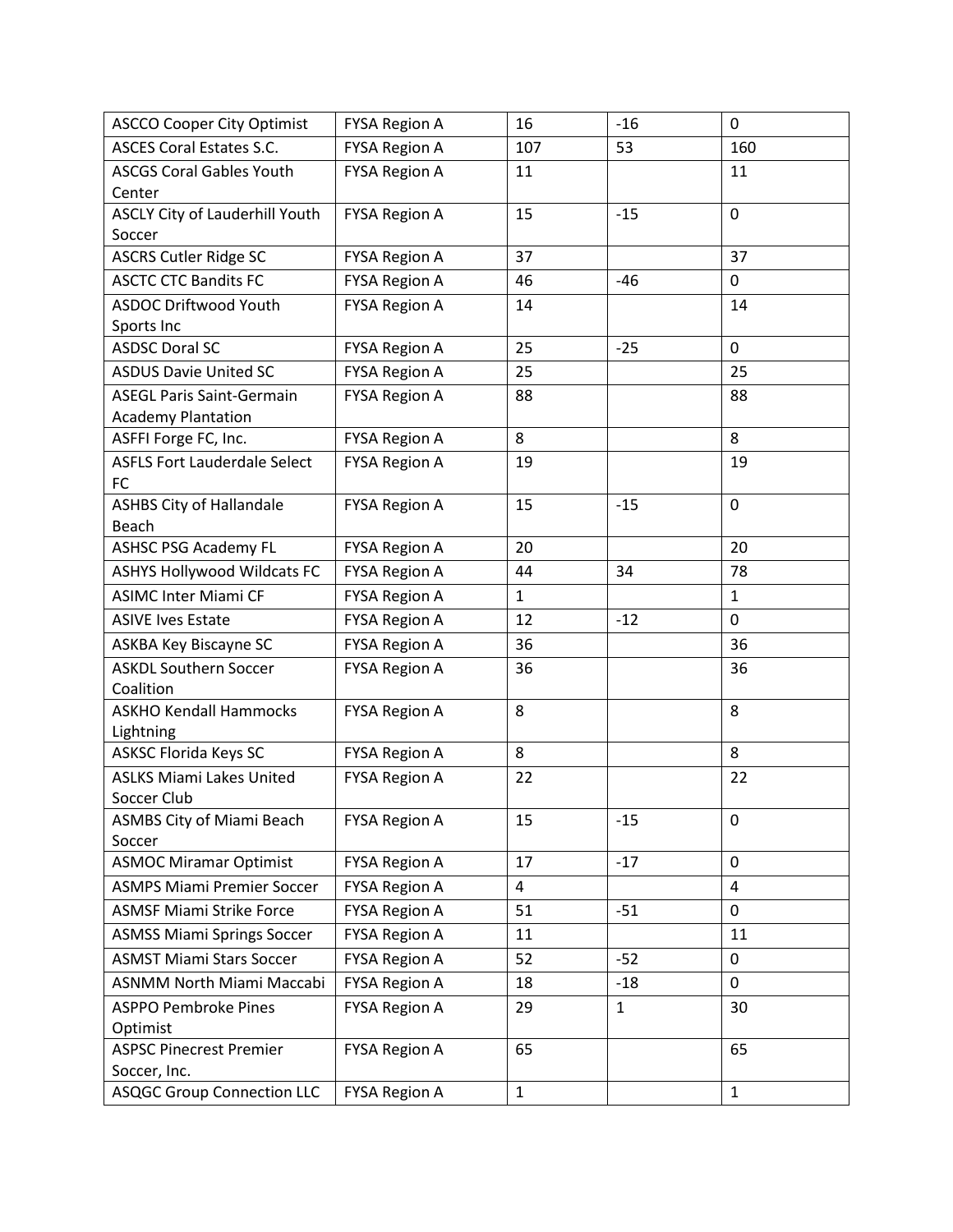| <b>ASCCO Cooper City Optimist</b>       | <b>FYSA Region A</b> | 16             | $-16$        | $\mathbf 0$    |
|-----------------------------------------|----------------------|----------------|--------------|----------------|
| <b>ASCES Coral Estates S.C.</b>         | <b>FYSA Region A</b> | 107            | 53           | 160            |
| <b>ASCGS Coral Gables Youth</b>         | <b>FYSA Region A</b> | 11             |              | 11             |
| Center                                  |                      |                |              |                |
| <b>ASCLY City of Lauderhill Youth</b>   | <b>FYSA Region A</b> | 15             | $-15$        | 0              |
| Soccer                                  |                      |                |              |                |
| <b>ASCRS Cutler Ridge SC</b>            | <b>FYSA Region A</b> | 37             |              | 37             |
| <b>ASCTC CTC Bandits FC</b>             | <b>FYSA Region A</b> | 46             | $-46$        | 0              |
| <b>ASDOC Driftwood Youth</b>            | <b>FYSA Region A</b> | 14             |              | 14             |
| Sports Inc                              |                      |                |              |                |
| <b>ASDSC Doral SC</b>                   | <b>FYSA Region A</b> | 25             | $-25$        | 0              |
| <b>ASDUS Davie United SC</b>            | <b>FYSA Region A</b> | 25             |              | 25             |
| <b>ASEGL Paris Saint-Germain</b>        | <b>FYSA Region A</b> | 88             |              | 88             |
| <b>Academy Plantation</b>               |                      |                |              |                |
| ASFFI Forge FC, Inc.                    | <b>FYSA Region A</b> | 8              |              | 8              |
| <b>ASFLS Fort Lauderdale Select</b>     | <b>FYSA Region A</b> | 19             |              | 19             |
| FC                                      |                      |                |              |                |
| <b>ASHBS City of Hallandale</b>         | <b>FYSA Region A</b> | 15             | $-15$        | 0              |
| <b>Beach</b>                            |                      |                |              |                |
| <b>ASHSC PSG Academy FL</b>             | <b>FYSA Region A</b> | 20             |              | 20             |
| <b>ASHYS Hollywood Wildcats FC</b>      | <b>FYSA Region A</b> | 44             | 34           | 78             |
| <b>ASIMC Inter Miami CF</b>             | <b>FYSA Region A</b> | $\mathbf{1}$   |              | $\mathbf{1}$   |
| <b>ASIVE Ives Estate</b>                | <b>FYSA Region A</b> | 12             | $-12$        | 0              |
| ASKBA Key Biscayne SC                   | <b>FYSA Region A</b> | 36             |              | 36             |
| <b>ASKDL Southern Soccer</b>            | <b>FYSA Region A</b> | 36             |              | 36             |
| Coalition                               |                      |                |              |                |
| <b>ASKHO Kendall Hammocks</b>           | <b>FYSA Region A</b> | 8              |              | 8              |
| Lightning                               |                      |                |              |                |
| <b>ASKSC Florida Keys SC</b>            | <b>FYSA Region A</b> | 8              |              | 8              |
| <b>ASLKS Miami Lakes United</b>         | <b>FYSA Region A</b> | 22             |              | 22             |
| Soccer Club                             |                      |                |              |                |
| <b>ASMBS City of Miami Beach</b>        | <b>FYSA Region A</b> | 15             | $-15$        | 0              |
| Soccer<br><b>ASMOC Miramar Optimist</b> | <b>FYSA Region A</b> | 17             | $-17$        | 0              |
| <b>ASMPS Miami Premier Soccer</b>       |                      | $\overline{4}$ |              | $\overline{4}$ |
|                                         | <b>FYSA Region A</b> |                |              |                |
| <b>ASMSF Miami Strike Force</b>         | <b>FYSA Region A</b> | 51             | $-51$        | 0              |
| <b>ASMSS Miami Springs Soccer</b>       | <b>FYSA Region A</b> | 11             |              | 11             |
| <b>ASMST Miami Stars Soccer</b>         | <b>FYSA Region A</b> | 52             | $-52$        | 0              |
| <b>ASNMM North Miami Maccabi</b>        | <b>FYSA Region A</b> | 18             | $-18$        | 0              |
| <b>ASPPO Pembroke Pines</b>             | <b>FYSA Region A</b> | 29             | $\mathbf{1}$ | 30             |
| Optimist                                |                      |                |              |                |
| <b>ASPSC Pinecrest Premier</b>          | <b>FYSA Region A</b> | 65             |              | 65             |
| Soccer, Inc.                            |                      |                |              |                |
| <b>ASQGC Group Connection LLC</b>       | <b>FYSA Region A</b> | $\mathbf{1}$   |              | $\mathbf{1}$   |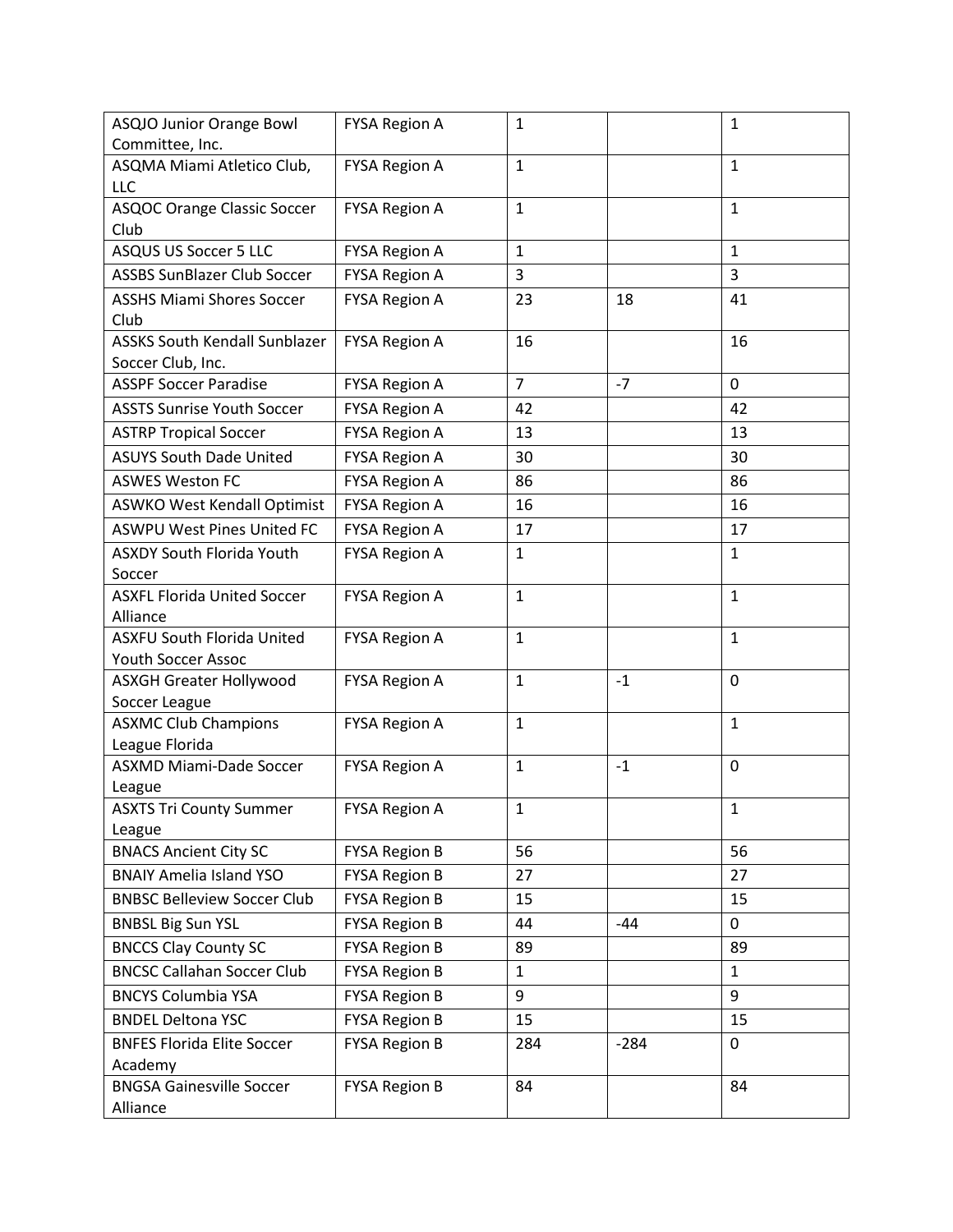| <b>ASQJO Junior Orange Bowl</b>                           | <b>FYSA Region A</b> | $\mathbf{1}$   |        | $\mathbf{1}$ |
|-----------------------------------------------------------|----------------------|----------------|--------|--------------|
| Committee, Inc.                                           |                      |                |        |              |
| ASQMA Miami Atletico Club,<br>LLC                         | <b>FYSA Region A</b> | $\mathbf{1}$   |        | 1            |
| <b>ASQOC Orange Classic Soccer</b><br>Club                | <b>FYSA Region A</b> | $\mathbf{1}$   |        | $\mathbf{1}$ |
| <b>ASQUS US Soccer 5 LLC</b>                              | <b>FYSA Region A</b> | $\mathbf{1}$   |        | $\mathbf{1}$ |
| <b>ASSBS SunBlazer Club Soccer</b>                        | <b>FYSA Region A</b> | 3              |        | 3            |
| <b>ASSHS Miami Shores Soccer</b><br>Club                  | <b>FYSA Region A</b> | 23             | 18     | 41           |
| <b>ASSKS South Kendall Sunblazer</b><br>Soccer Club, Inc. | <b>FYSA Region A</b> | 16             |        | 16           |
| <b>ASSPF Soccer Paradise</b>                              | <b>FYSA Region A</b> | $\overline{7}$ | $-7$   | 0            |
| <b>ASSTS Sunrise Youth Soccer</b>                         | <b>FYSA Region A</b> | 42             |        | 42           |
| <b>ASTRP Tropical Soccer</b>                              | <b>FYSA Region A</b> | 13             |        | 13           |
| <b>ASUYS South Dade United</b>                            | <b>FYSA Region A</b> | 30             |        | 30           |
| <b>ASWES Weston FC</b>                                    | <b>FYSA Region A</b> | 86             |        | 86           |
| <b>ASWKO West Kendall Optimist</b>                        | <b>FYSA Region A</b> | 16             |        | 16           |
| <b>ASWPU West Pines United FC</b>                         | <b>FYSA Region A</b> | 17             |        | 17           |
| <b>ASXDY South Florida Youth</b><br>Soccer                | <b>FYSA Region A</b> | $\mathbf{1}$   |        | $\mathbf{1}$ |
| <b>ASXFL Florida United Soccer</b><br>Alliance            | <b>FYSA Region A</b> | $\mathbf{1}$   |        | $\mathbf{1}$ |
| <b>ASXFU South Florida United</b><br>Youth Soccer Assoc   | <b>FYSA Region A</b> | $\mathbf{1}$   |        | $\mathbf{1}$ |
| <b>ASXGH Greater Hollywood</b><br>Soccer League           | <b>FYSA Region A</b> | $\mathbf{1}$   | $-1$   | 0            |
| <b>ASXMC Club Champions</b><br>League Florida             | <b>FYSA Region A</b> | $\mathbf{1}$   |        | $\mathbf{1}$ |
| <b>ASXMD Miami-Dade Soccer</b><br>League                  | <b>FYSA Region A</b> | $\mathbf{1}$   | $-1$   | $\mathbf 0$  |
| <b>ASXTS Tri County Summer</b><br>League                  | <b>FYSA Region A</b> | $\mathbf 1$    |        | $\mathbf 1$  |
| <b>BNACS Ancient City SC</b>                              | <b>FYSA Region B</b> | 56             |        | 56           |
| <b>BNAIY Amelia Island YSO</b>                            | <b>FYSA Region B</b> | 27             |        | 27           |
| <b>BNBSC Belleview Soccer Club</b>                        | <b>FYSA Region B</b> | 15             |        | 15           |
| <b>BNBSL Big Sun YSL</b>                                  | <b>FYSA Region B</b> | 44             | -44    | 0            |
| <b>BNCCS Clay County SC</b>                               | <b>FYSA Region B</b> | 89             |        | 89           |
| <b>BNCSC Callahan Soccer Club</b>                         | <b>FYSA Region B</b> | $\mathbf{1}$   |        | $\mathbf{1}$ |
| <b>BNCYS Columbia YSA</b>                                 | <b>FYSA Region B</b> | 9              |        | 9            |
| <b>BNDEL Deltona YSC</b>                                  | <b>FYSA Region B</b> | 15             |        | 15           |
| <b>BNFES Florida Elite Soccer</b><br>Academy              | <b>FYSA Region B</b> | 284            | $-284$ | 0            |
| <b>BNGSA Gainesville Soccer</b><br>Alliance               | <b>FYSA Region B</b> | 84             |        | 84           |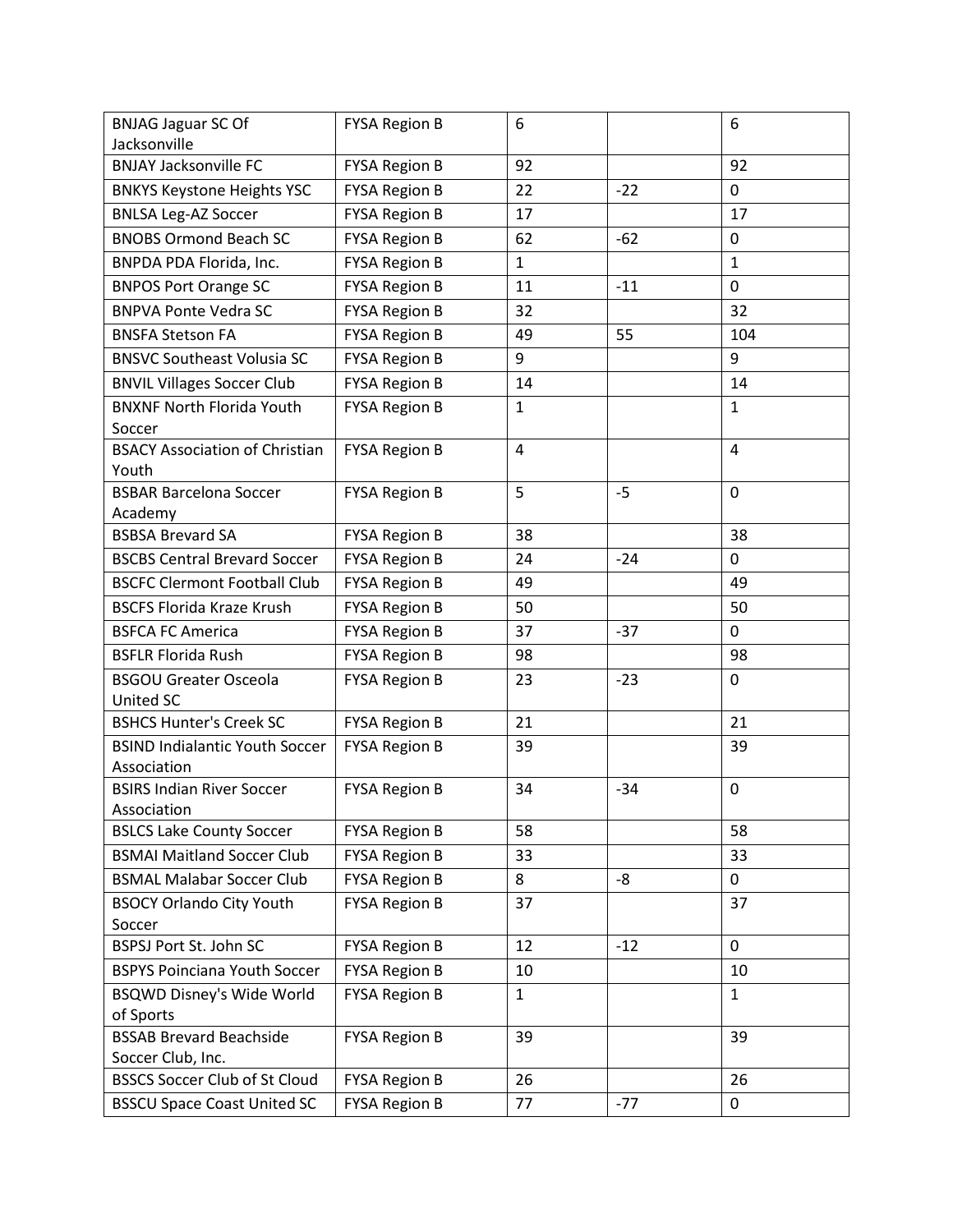| <b>BNJAG Jaguar SC Of</b>                            | <b>FYSA Region B</b> | 6            |       | 6              |
|------------------------------------------------------|----------------------|--------------|-------|----------------|
| Jacksonville                                         |                      |              |       |                |
| <b>BNJAY Jacksonville FC</b>                         | <b>FYSA Region B</b> | 92           |       | 92             |
| <b>BNKYS Keystone Heights YSC</b>                    | <b>FYSA Region B</b> | 22           | $-22$ | 0              |
| <b>BNLSA Leg-AZ Soccer</b>                           | <b>FYSA Region B</b> | 17           |       | 17             |
| <b>BNOBS Ormond Beach SC</b>                         | <b>FYSA Region B</b> | 62           | $-62$ | 0              |
| BNPDA PDA Florida, Inc.                              | <b>FYSA Region B</b> | $\mathbf{1}$ |       | $\mathbf{1}$   |
| <b>BNPOS Port Orange SC</b>                          | <b>FYSA Region B</b> | 11           | $-11$ | 0              |
| <b>BNPVA Ponte Vedra SC</b>                          | <b>FYSA Region B</b> | 32           |       | 32             |
| <b>BNSFA Stetson FA</b>                              | <b>FYSA Region B</b> | 49           | 55    | 104            |
| <b>BNSVC Southeast Volusia SC</b>                    | <b>FYSA Region B</b> | 9            |       | 9              |
| <b>BNVIL Villages Soccer Club</b>                    | <b>FYSA Region B</b> | 14           |       | 14             |
| <b>BNXNF North Florida Youth</b><br>Soccer           | <b>FYSA Region B</b> | $\mathbf{1}$ |       | $\mathbf{1}$   |
| <b>BSACY Association of Christian</b><br>Youth       | <b>FYSA Region B</b> | 4            |       | $\overline{4}$ |
| <b>BSBAR Barcelona Soccer</b><br>Academy             | <b>FYSA Region B</b> | 5            | $-5$  | 0              |
| <b>BSBSA Brevard SA</b>                              | <b>FYSA Region B</b> | 38           |       | 38             |
| <b>BSCBS Central Brevard Soccer</b>                  | <b>FYSA Region B</b> | 24           | $-24$ | $\mathbf 0$    |
| <b>BSCFC Clermont Football Club</b>                  | <b>FYSA Region B</b> | 49           |       | 49             |
| <b>BSCFS Florida Kraze Krush</b>                     | <b>FYSA Region B</b> | 50           |       | 50             |
| <b>BSFCA FC America</b>                              | <b>FYSA Region B</b> | 37           | $-37$ | $\mathbf 0$    |
| <b>BSFLR Florida Rush</b>                            | <b>FYSA Region B</b> | 98           |       | 98             |
| <b>BSGOU Greater Osceola</b><br>United SC            | <b>FYSA Region B</b> | 23           | $-23$ | 0              |
| <b>BSHCS Hunter's Creek SC</b>                       | <b>FYSA Region B</b> | 21           |       | 21             |
| <b>BSIND Indialantic Youth Soccer</b><br>Association | <b>FYSA Region B</b> | 39           |       | 39             |
| <b>BSIRS Indian River Soccer</b><br>Association      | <b>FYSA Region B</b> | 34           | $-34$ | 0              |
| <b>BSLCS Lake County Soccer</b>                      | <b>FYSA Region B</b> | 58           |       | 58             |
| <b>BSMAI Maitland Soccer Club</b>                    | <b>FYSA Region B</b> | 33           |       | 33             |
| <b>BSMAL Malabar Soccer Club</b>                     | <b>FYSA Region B</b> | 8            | -8    | 0              |
| <b>BSOCY Orlando City Youth</b>                      | <b>FYSA Region B</b> | 37           |       | 37             |
| Soccer                                               |                      |              |       |                |
| BSPSJ Port St. John SC                               | <b>FYSA Region B</b> | 12           | $-12$ | $\mathbf 0$    |
| <b>BSPYS Poinciana Youth Soccer</b>                  | <b>FYSA Region B</b> | 10           |       | 10             |
| <b>BSQWD Disney's Wide World</b>                     | <b>FYSA Region B</b> | $\mathbf{1}$ |       | $\mathbf{1}$   |
| of Sports                                            |                      |              |       |                |
| <b>BSSAB Brevard Beachside</b><br>Soccer Club, Inc.  | <b>FYSA Region B</b> | 39           |       | 39             |
| <b>BSSCS Soccer Club of St Cloud</b>                 | <b>FYSA Region B</b> | 26           |       | 26             |
| <b>BSSCU Space Coast United SC</b>                   | <b>FYSA Region B</b> | 77           | $-77$ | 0              |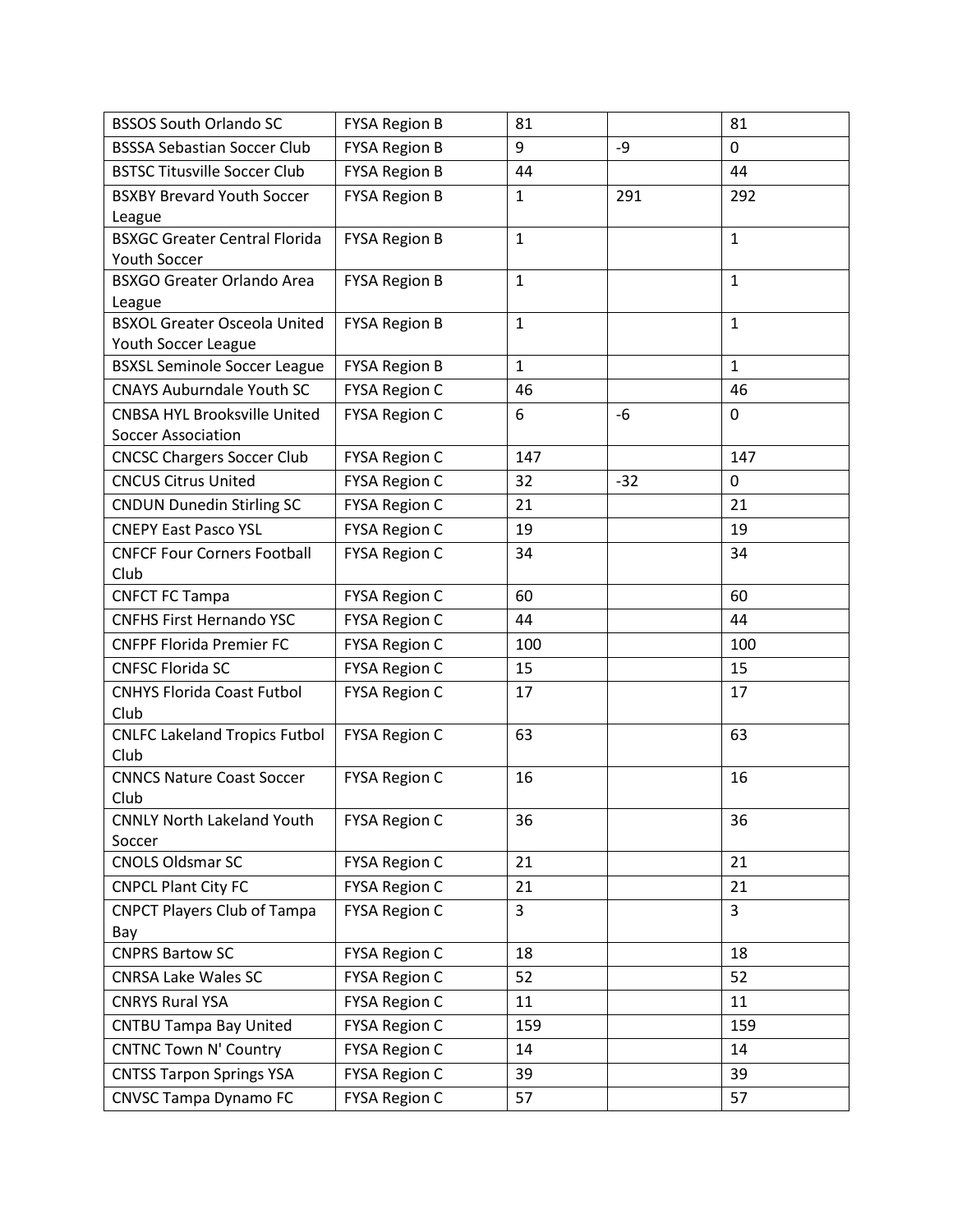| <b>BSSOS South Orlando SC</b>                 | <b>FYSA Region B</b> | 81           |       | 81           |
|-----------------------------------------------|----------------------|--------------|-------|--------------|
| <b>BSSSA Sebastian Soccer Club</b>            | <b>FYSA Region B</b> | 9            | -9    | $\mathbf 0$  |
| <b>BSTSC Titusville Soccer Club</b>           | <b>FYSA Region B</b> | 44           |       | 44           |
| <b>BSXBY Brevard Youth Soccer</b>             | <b>FYSA Region B</b> | $\mathbf{1}$ | 291   | 292          |
| League                                        |                      |              |       |              |
| <b>BSXGC Greater Central Florida</b>          | <b>FYSA Region B</b> | $\mathbf{1}$ |       | $\mathbf{1}$ |
| <b>Youth Soccer</b>                           |                      |              |       |              |
| <b>BSXGO Greater Orlando Area</b>             | <b>FYSA Region B</b> | $\mathbf{1}$ |       | $\mathbf{1}$ |
| League<br><b>BSXOL Greater Osceola United</b> | <b>FYSA Region B</b> | $\mathbf{1}$ |       | $\mathbf{1}$ |
| Youth Soccer League                           |                      |              |       |              |
| <b>BSXSL Seminole Soccer League</b>           | <b>FYSA Region B</b> | $\mathbf{1}$ |       | $\mathbf{1}$ |
| <b>CNAYS Auburndale Youth SC</b>              | <b>FYSA Region C</b> | 46           |       | 46           |
| <b>CNBSA HYL Brooksville United</b>           | <b>FYSA Region C</b> | 6            | -6    | $\mathbf 0$  |
| <b>Soccer Association</b>                     |                      |              |       |              |
| <b>CNCSC Chargers Soccer Club</b>             | <b>FYSA Region C</b> | 147          |       | 147          |
| <b>CNCUS Citrus United</b>                    | <b>FYSA Region C</b> | 32           | $-32$ | $\mathbf 0$  |
| <b>CNDUN Dunedin Stirling SC</b>              | <b>FYSA Region C</b> | 21           |       | 21           |
| <b>CNEPY East Pasco YSL</b>                   | <b>FYSA Region C</b> | 19           |       | 19           |
| <b>CNFCF Four Corners Football</b>            | <b>FYSA Region C</b> | 34           |       | 34           |
| Club                                          |                      |              |       |              |
| <b>CNFCT FC Tampa</b>                         | <b>FYSA Region C</b> | 60           |       | 60           |
| <b>CNFHS First Hernando YSC</b>               | <b>FYSA Region C</b> | 44           |       | 44           |
| <b>CNFPF Florida Premier FC</b>               | <b>FYSA Region C</b> | 100          |       | 100          |
| <b>CNFSC Florida SC</b>                       | <b>FYSA Region C</b> | 15           |       | 15           |
| <b>CNHYS Florida Coast Futbol</b>             | <b>FYSA Region C</b> | 17           |       | 17           |
| Club                                          |                      |              |       |              |
| <b>CNLFC Lakeland Tropics Futbol</b>          | <b>FYSA Region C</b> | 63           |       | 63           |
| Club                                          |                      |              |       |              |
| <b>CNNCS Nature Coast Soccer</b><br>Club      | <b>FYSA Region C</b> | 16           |       | 16           |
| <b>CNNLY North Lakeland Youth</b>             | <b>FYSA Region C</b> | 36           |       | 36           |
| Soccer                                        |                      |              |       |              |
| <b>CNOLS Oldsmar SC</b>                       | <b>FYSA Region C</b> | 21           |       | 21           |
| <b>CNPCL Plant City FC</b>                    | <b>FYSA Region C</b> | 21           |       | 21           |
| <b>CNPCT Players Club of Tampa</b>            | <b>FYSA Region C</b> | 3            |       | 3            |
| Bay                                           |                      |              |       |              |
| <b>CNPRS Bartow SC</b>                        | <b>FYSA Region C</b> | 18           |       | 18           |
| <b>CNRSA Lake Wales SC</b>                    | <b>FYSA Region C</b> | 52           |       | 52           |
| <b>CNRYS Rural YSA</b>                        | <b>FYSA Region C</b> | 11           |       | 11           |
| <b>CNTBU Tampa Bay United</b>                 | <b>FYSA Region C</b> | 159          |       | 159          |
| <b>CNTNC Town N' Country</b>                  | <b>FYSA Region C</b> | 14           |       | 14           |
| <b>CNTSS Tarpon Springs YSA</b>               | <b>FYSA Region C</b> | 39           |       | 39           |
| <b>CNVSC Tampa Dynamo FC</b>                  | <b>FYSA Region C</b> | 57           |       | 57           |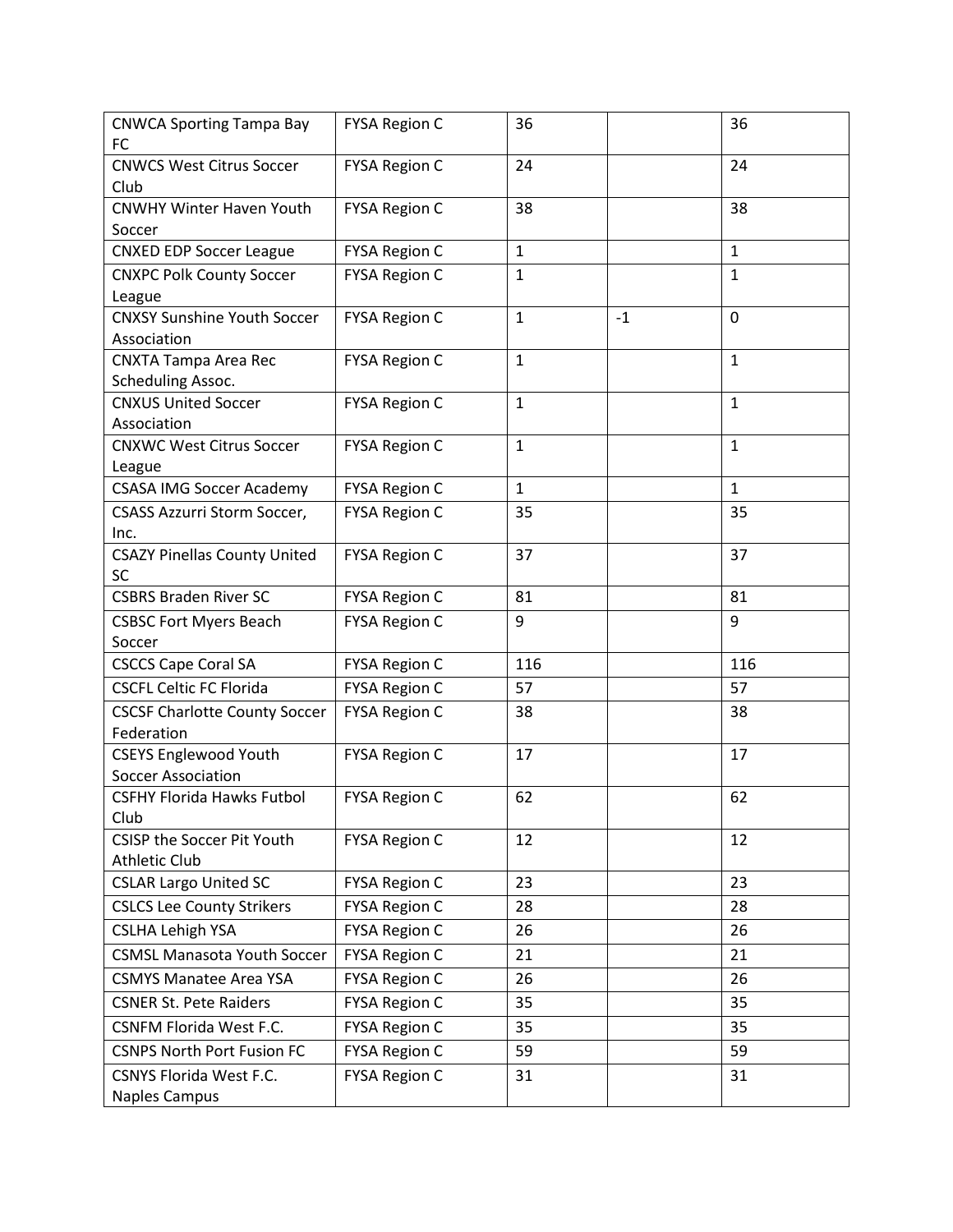| <b>CNWCA Sporting Tampa Bay</b><br><b>FC</b> | <b>FYSA Region C</b> | 36                   | 36           |
|----------------------------------------------|----------------------|----------------------|--------------|
| <b>CNWCS West Citrus Soccer</b>              | <b>FYSA Region C</b> | 24                   | 24           |
| Club                                         |                      |                      |              |
| <b>CNWHY Winter Haven Youth</b>              | <b>FYSA Region C</b> | 38                   | 38           |
| Soccer                                       |                      |                      |              |
| <b>CNXED EDP Soccer League</b>               | <b>FYSA Region C</b> | $\mathbf{1}$         | $\mathbf{1}$ |
| <b>CNXPC Polk County Soccer</b>              | <b>FYSA Region C</b> | $\mathbf{1}$         | $\mathbf{1}$ |
| League                                       |                      |                      |              |
| <b>CNXSY Sunshine Youth Soccer</b>           | <b>FYSA Region C</b> | $\mathbf{1}$<br>$-1$ | 0            |
| Association                                  |                      |                      |              |
| <b>CNXTA Tampa Area Rec</b>                  | <b>FYSA Region C</b> | $\mathbf{1}$         | $\mathbf{1}$ |
| <b>Scheduling Assoc.</b>                     |                      |                      |              |
| <b>CNXUS United Soccer</b>                   | <b>FYSA Region C</b> | $\mathbf{1}$         | $\mathbf{1}$ |
| Association                                  |                      |                      |              |
| <b>CNXWC West Citrus Soccer</b>              | <b>FYSA Region C</b> | $\mathbf{1}$         | $\mathbf{1}$ |
| League<br><b>CSASA IMG Soccer Academy</b>    |                      | $\mathbf{1}$         | $\mathbf{1}$ |
|                                              | <b>FYSA Region C</b> | 35                   | 35           |
| <b>CSASS Azzurri Storm Soccer,</b><br>Inc.   | <b>FYSA Region C</b> |                      |              |
| <b>CSAZY Pinellas County United</b>          | <b>FYSA Region C</b> | 37                   | 37           |
| <b>SC</b>                                    |                      |                      |              |
| <b>CSBRS Braden River SC</b>                 | <b>FYSA Region C</b> | 81                   | 81           |
| <b>CSBSC Fort Myers Beach</b>                | <b>FYSA Region C</b> | 9                    | 9            |
| Soccer                                       |                      |                      |              |
| <b>CSCCS Cape Coral SA</b>                   | <b>FYSA Region C</b> | 116                  | 116          |
| <b>CSCFL Celtic FC Florida</b>               | <b>FYSA Region C</b> | 57                   | 57           |
| <b>CSCSF Charlotte County Soccer</b>         | <b>FYSA Region C</b> | 38                   | 38           |
| Federation                                   |                      |                      |              |
| <b>CSEYS Englewood Youth</b>                 | <b>FYSA Region C</b> | 17                   | 17           |
| <b>Soccer Association</b>                    |                      |                      |              |
| <b>CSFHY Florida Hawks Futbol</b>            | <b>FYSA Region C</b> | 62                   | 62           |
| Club                                         |                      |                      |              |
| CSISP the Soccer Pit Youth                   | FYSA Region C        | 12                   | 12           |
| <b>Athletic Club</b>                         |                      |                      |              |
| <b>CSLAR Largo United SC</b>                 | <b>FYSA Region C</b> | 23                   | 23           |
| <b>CSLCS Lee County Strikers</b>             | <b>FYSA Region C</b> | 28                   | 28           |
| <b>CSLHA Lehigh YSA</b>                      | <b>FYSA Region C</b> | 26                   | 26           |
| <b>CSMSL Manasota Youth Soccer</b>           | <b>FYSA Region C</b> | 21                   | 21           |
| <b>CSMYS Manatee Area YSA</b>                | <b>FYSA Region C</b> | 26                   | 26           |
| <b>CSNER St. Pete Raiders</b>                | <b>FYSA Region C</b> | 35                   | 35           |
| <b>CSNFM Florida West F.C.</b>               | <b>FYSA Region C</b> | 35                   | 35           |
| <b>CSNPS North Port Fusion FC</b>            | <b>FYSA Region C</b> | 59                   | 59           |
| <b>CSNYS Florida West F.C.</b>               | <b>FYSA Region C</b> | 31                   | 31           |
| <b>Naples Campus</b>                         |                      |                      |              |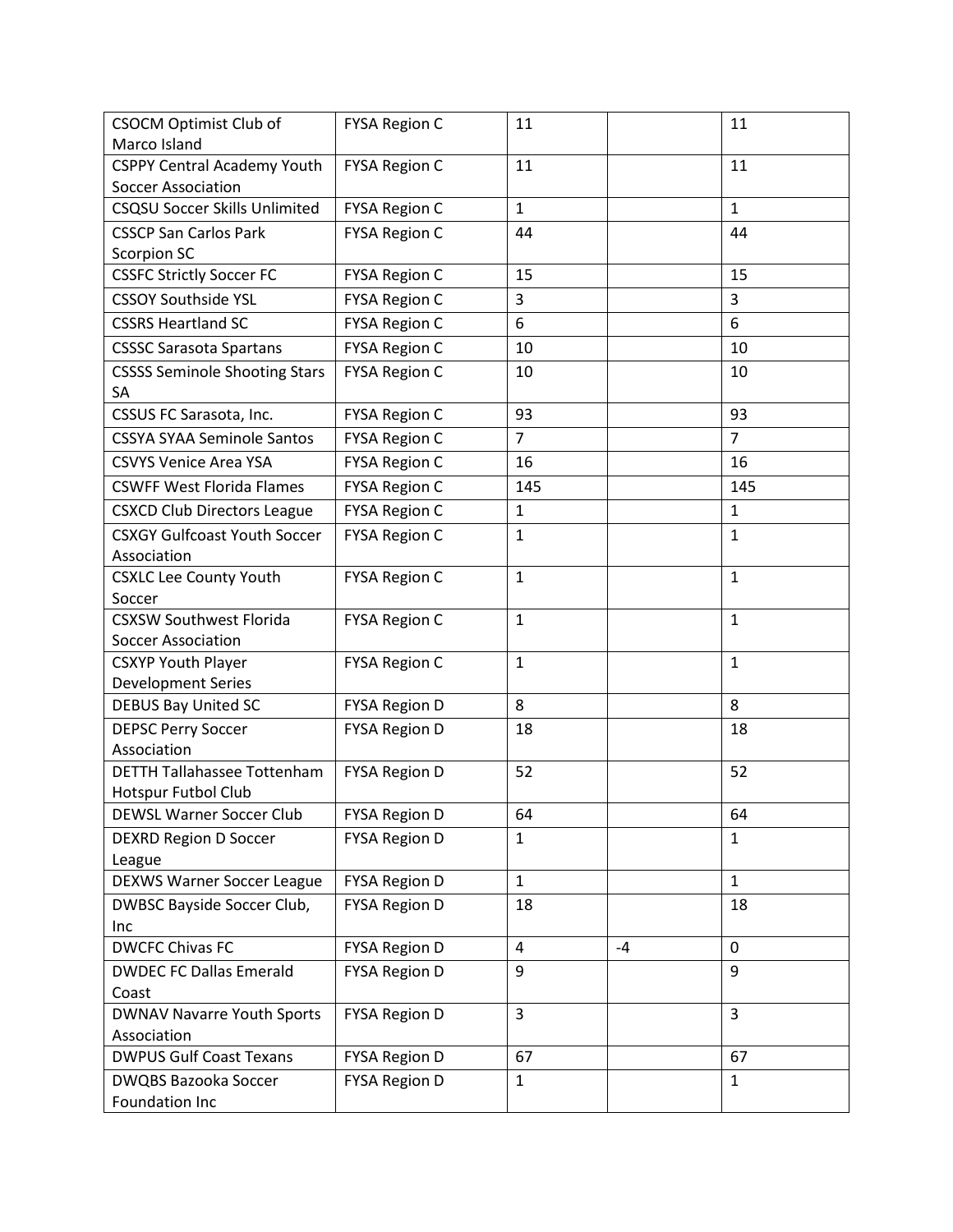| CSOCM Optimist Club of               | <b>FYSA Region C</b> | 11             |      | 11             |
|--------------------------------------|----------------------|----------------|------|----------------|
| Marco Island                         |                      |                |      |                |
| <b>CSPPY Central Academy Youth</b>   | <b>FYSA Region C</b> | 11             |      | 11             |
| <b>Soccer Association</b>            |                      |                |      |                |
| <b>CSQSU Soccer Skills Unlimited</b> | <b>FYSA Region C</b> | $\mathbf{1}$   |      | $\mathbf{1}$   |
| <b>CSSCP San Carlos Park</b>         | <b>FYSA Region C</b> | 44             |      | 44             |
| <b>Scorpion SC</b>                   |                      |                |      |                |
| <b>CSSFC Strictly Soccer FC</b>      | <b>FYSA Region C</b> | 15             |      | 15             |
| <b>CSSOY Southside YSL</b>           | <b>FYSA Region C</b> | 3              |      | 3              |
| <b>CSSRS Heartland SC</b>            | <b>FYSA Region C</b> | 6              |      | 6              |
| <b>CSSSC Sarasota Spartans</b>       | <b>FYSA Region C</b> | 10             |      | 10             |
| <b>CSSSS Seminole Shooting Stars</b> | <b>FYSA Region C</b> | 10             |      | 10             |
| SA                                   |                      |                |      |                |
| CSSUS FC Sarasota, Inc.              | <b>FYSA Region C</b> | 93             |      | 93             |
| <b>CSSYA SYAA Seminole Santos</b>    | <b>FYSA Region C</b> | $\overline{7}$ |      | $\overline{7}$ |
| <b>CSVYS Venice Area YSA</b>         | <b>FYSA Region C</b> | 16             |      | 16             |
| <b>CSWFF West Florida Flames</b>     | <b>FYSA Region C</b> | 145            |      | 145            |
| <b>CSXCD Club Directors League</b>   | <b>FYSA Region C</b> | $\mathbf{1}$   |      | $\mathbf{1}$   |
| <b>CSXGY Gulfcoast Youth Soccer</b>  | <b>FYSA Region C</b> | $\mathbf{1}$   |      | $\mathbf{1}$   |
| Association                          |                      |                |      |                |
| <b>CSXLC Lee County Youth</b>        | <b>FYSA Region C</b> | $\mathbf{1}$   |      | $\mathbf{1}$   |
| Soccer                               |                      |                |      |                |
| <b>CSXSW Southwest Florida</b>       | <b>FYSA Region C</b> | $\mathbf{1}$   |      | $\mathbf{1}$   |
| <b>Soccer Association</b>            |                      |                |      |                |
| <b>CSXYP Youth Player</b>            | <b>FYSA Region C</b> | $\mathbf{1}$   |      | $\mathbf{1}$   |
| <b>Development Series</b>            |                      |                |      |                |
| <b>DEBUS Bay United SC</b>           | <b>FYSA Region D</b> | 8              |      | 8              |
| <b>DEPSC Perry Soccer</b>            | <b>FYSA Region D</b> | 18             |      | 18             |
| Association                          |                      |                |      |                |
| <b>DETTH Tallahassee Tottenham</b>   | <b>FYSA Region D</b> | 52             |      | 52             |
| Hotspur Futbol Club                  |                      |                |      |                |
| DEWSL Warner Soccer Club             | <b>FYSA Region D</b> | 64             |      | 64             |
| <b>DEXRD Region D Soccer</b>         | <b>FYSA Region D</b> | $\mathbf{1}$   |      | $\mathbf{1}$   |
| League                               |                      | $\mathbf{1}$   |      | $\mathbf{1}$   |
| <b>DEXWS Warner Soccer League</b>    | <b>FYSA Region D</b> |                |      |                |
| DWBSC Bayside Soccer Club,           | <b>FYSA Region D</b> | 18             |      | 18             |
| Inc<br><b>DWCFC Chivas FC</b>        | <b>FYSA Region D</b> | 4              | $-4$ | $\mathbf 0$    |
| <b>DWDEC FC Dallas Emerald</b>       |                      | 9              |      | 9              |
| Coast                                | <b>FYSA Region D</b> |                |      |                |
| <b>DWNAV Navarre Youth Sports</b>    | <b>FYSA Region D</b> | $\overline{3}$ |      | $\overline{3}$ |
| Association                          |                      |                |      |                |
| <b>DWPUS Gulf Coast Texans</b>       | <b>FYSA Region D</b> | 67             |      | 67             |
| <b>DWQBS Bazooka Soccer</b>          | <b>FYSA Region D</b> | $\mathbf{1}$   |      | $\mathbf{1}$   |
| Foundation Inc                       |                      |                |      |                |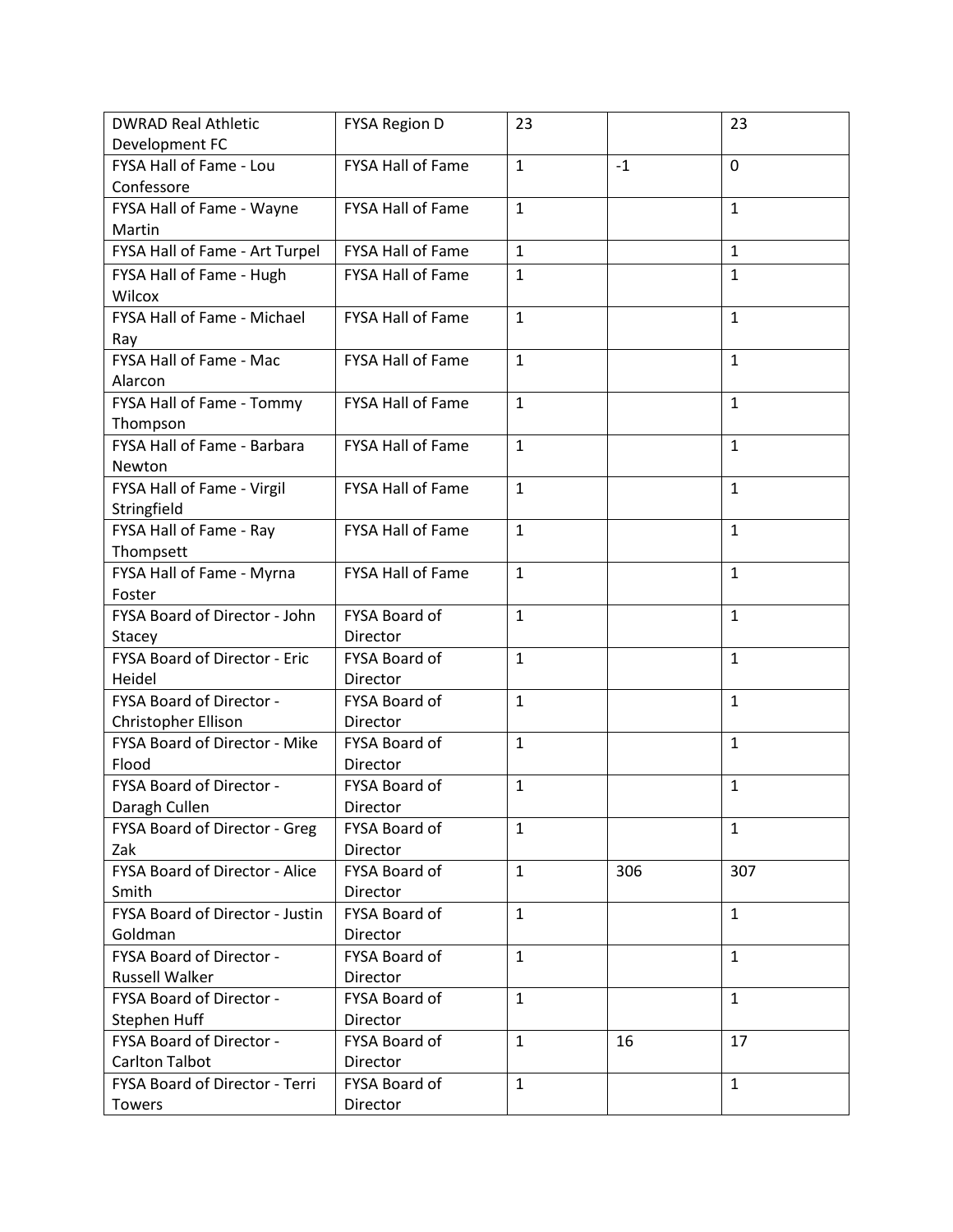| <b>DWRAD Real Athletic</b>      | <b>FYSA Region D</b>     | 23           |      | 23           |
|---------------------------------|--------------------------|--------------|------|--------------|
| Development FC                  |                          |              |      |              |
| FYSA Hall of Fame - Lou         | FYSA Hall of Fame        | $\mathbf{1}$ | $-1$ | $\mathbf 0$  |
| Confessore                      |                          |              |      |              |
| FYSA Hall of Fame - Wayne       | <b>FYSA Hall of Fame</b> | $\mathbf{1}$ |      | $\mathbf{1}$ |
| Martin                          |                          |              |      |              |
| FYSA Hall of Fame - Art Turpel  | FYSA Hall of Fame        | $\mathbf{1}$ |      | $\mathbf{1}$ |
| FYSA Hall of Fame - Hugh        | <b>FYSA Hall of Fame</b> | $\mathbf{1}$ |      | $\mathbf{1}$ |
| Wilcox                          |                          |              |      |              |
| FYSA Hall of Fame - Michael     | <b>FYSA Hall of Fame</b> | $\mathbf{1}$ |      | $\mathbf{1}$ |
| Ray                             |                          |              |      |              |
| FYSA Hall of Fame - Mac         | FYSA Hall of Fame        | $\mathbf{1}$ |      | $\mathbf{1}$ |
| Alarcon                         |                          |              |      |              |
| FYSA Hall of Fame - Tommy       | FYSA Hall of Fame        | $\mathbf{1}$ |      | $\mathbf{1}$ |
| Thompson                        |                          |              |      |              |
| FYSA Hall of Fame - Barbara     | <b>FYSA Hall of Fame</b> | $\mathbf{1}$ |      | $\mathbf{1}$ |
| Newton                          |                          |              |      |              |
| FYSA Hall of Fame - Virgil      | <b>FYSA Hall of Fame</b> | $\mathbf{1}$ |      | $\mathbf{1}$ |
| Stringfield                     |                          |              |      |              |
| FYSA Hall of Fame - Ray         | <b>FYSA Hall of Fame</b> | $\mathbf{1}$ |      | $\mathbf{1}$ |
| Thompsett                       |                          |              |      |              |
| FYSA Hall of Fame - Myrna       | FYSA Hall of Fame        | $\mathbf{1}$ |      | $\mathbf{1}$ |
| Foster                          |                          |              |      |              |
| FYSA Board of Director - John   | FYSA Board of            | $\mathbf{1}$ |      | $\mathbf{1}$ |
| <b>Stacey</b>                   | Director                 |              |      |              |
| FYSA Board of Director - Eric   | FYSA Board of            | $\mathbf{1}$ |      | $\mathbf{1}$ |
| Heidel                          | Director                 |              |      |              |
| FYSA Board of Director -        | FYSA Board of            | $\mathbf{1}$ |      | $\mathbf{1}$ |
| Christopher Ellison             | Director                 |              |      |              |
| FYSA Board of Director - Mike   | FYSA Board of            | $\mathbf{1}$ |      | $\mathbf{1}$ |
| Flood                           | Director                 |              |      |              |
| FYSA Board of Director -        | FYSA Board of            | $\mathbf{1}$ |      | $\mathbf{1}$ |
| Daragh Cullen                   | Director                 |              |      |              |
| FYSA Board of Director - Greg   | FYSA Board of            | $\mathbf{1}$ |      | $\mathbf{1}$ |
| Zak                             | Director                 |              |      |              |
| FYSA Board of Director - Alice  | FYSA Board of            | $\mathbf{1}$ | 306  | 307          |
| Smith                           | Director                 |              |      |              |
| FYSA Board of Director - Justin | FYSA Board of            | $\mathbf{1}$ |      | $\mathbf{1}$ |
| Goldman                         | Director                 |              |      |              |
| FYSA Board of Director -        | FYSA Board of            | $\mathbf{1}$ |      | $\mathbf{1}$ |
| <b>Russell Walker</b>           | Director                 |              |      |              |
| FYSA Board of Director -        | FYSA Board of            | $\mathbf{1}$ |      | $\mathbf{1}$ |
| Stephen Huff                    | Director                 |              |      |              |
| FYSA Board of Director -        | FYSA Board of            | $\mathbf{1}$ | 16   | 17           |
| <b>Carlton Talbot</b>           | Director                 |              |      |              |
| FYSA Board of Director - Terri  | FYSA Board of            | $\mathbf{1}$ |      | $\mathbf{1}$ |
| Towers                          | Director                 |              |      |              |